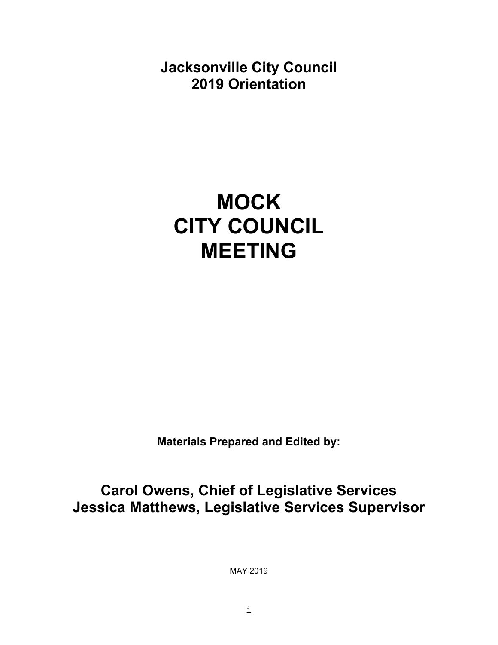**Jacksonville City Council 2019 Orientation**

# **MOCK CITY COUNCIL MEETING**

**Materials Prepared and Edited by:** 

**Carol Owens, Chief of Legislative Services Jessica Matthews, Legislative Services Supervisor** 

MAY 2019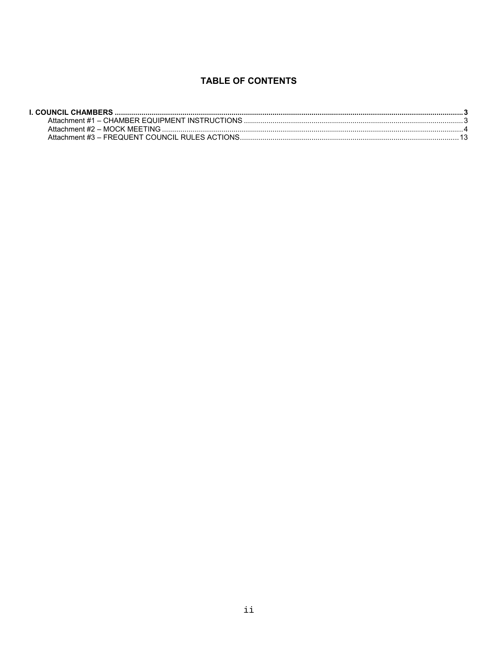# **TABLE OF CONTENTS**

| Attachment #1 – CHAMBER EQUIPMENT INSTRUCTIONS …………………………………………………………………………………………3 |  |
|------------------------------------------------------------------------------------|--|
|                                                                                    |  |
|                                                                                    |  |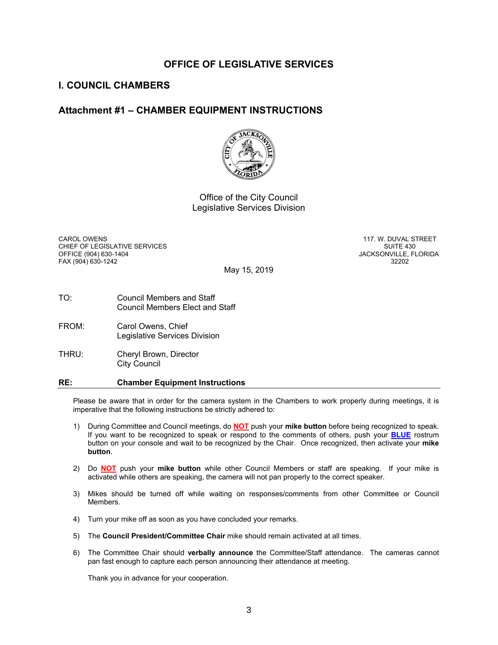#### **OFFICE OF LEGISLATIVE SERVICES**

#### **I. COUNCIL CHAMBERS**

#### **Attachment #1 – CHAMBER EQUIPMENT INSTRUCTIONS**



Office of the City Council Legislative Services Division

CAROL OWENS<br>CHIFF OF LEGISLATIVE SERVICES CHIEF AND THE CHIFF AND SUITE 430 CHIEF OF LEGISLATIVE SERVICES<br>OFFICE (904) 630-1404 FAX (904) 630-1242 32202

JACKSONVILLE, FLORIDA

May 15, 2019

- TO: Council Members and Staff Council Members Elect and Staff
- FROM: Carol Owens, Chief Legislative Services Division
- THRU: Cheryl Brown, Director City Council

#### **RE: Chamber Equipment Instructions**

Please be aware that in order for the camera system in the Chambers to work properly during meetings, it is imperative that the following instructions be strictly adhered to:

- 1) During Committee and Council meetings, do **NOT** push your **mike button** before being recognized to speak. If you want to be recognized to speak or respond to the comments of others, push your **BLUE** rostrum button on your console and wait to be recognized by the Chair. Once recognized, then activate your **mike button**.
- 2) Do **NOT** push your **mike button** while other Council Members or staff are speaking. If your mike is activated while others are speaking, the camera will not pan properly to the correct speaker.
- 3) Mikes should be turned off while waiting on responses/comments from other Committee or Council Members.
- 4) Turn your mike off as soon as you have concluded your remarks.
- 5) The **Council President/Committee Chair** mike should remain activated at all times.
- 6) The Committee Chair should **verbally announce** the Committee/Staff attendance. The cameras cannot pan fast enough to capture each person announcing their attendance at meeting.

Thank you in advance for your cooperation.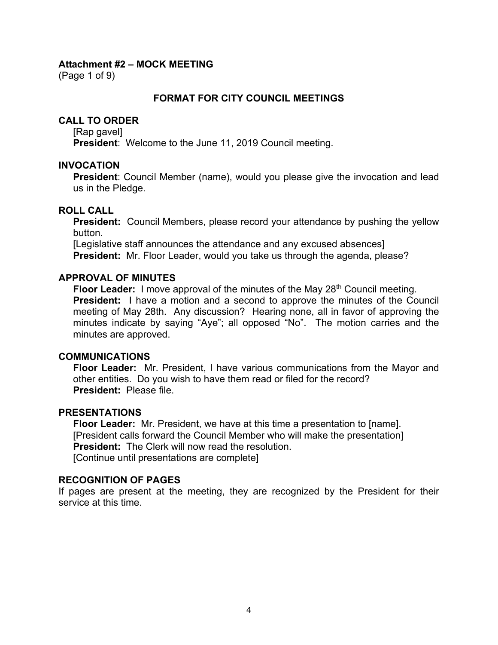(Page 1 of 9)

#### **FORMAT FOR CITY COUNCIL MEETINGS**

#### **CALL TO ORDER**

[Rap gavel]

**President**: Welcome to the June 11, 2019 Council meeting.

#### **INVOCATION**

**President**: Council Member (name), would you please give the invocation and lead us in the Pledge.

#### **ROLL CALL**

**President:** Council Members, please record your attendance by pushing the yellow button.

[Legislative staff announces the attendance and any excused absences] **President:** Mr. Floor Leader, would you take us through the agenda, please?

#### **APPROVAL OF MINUTES**

**Floor Leader:** I move approval of the minutes of the May 28<sup>th</sup> Council meeting. **President:** I have a motion and a second to approve the minutes of the Council meeting of May 28th. Any discussion? Hearing none, all in favor of approving the minutes indicate by saying "Aye"; all opposed "No". The motion carries and the minutes are approved.

#### **COMMUNICATIONS**

**Floor Leader:** Mr. President, I have various communications from the Mayor and other entities. Do you wish to have them read or filed for the record? **President:** Please file.

#### **PRESENTATIONS**

**Floor Leader:** Mr. President, we have at this time a presentation to [name]. [President calls forward the Council Member who will make the presentation] **President:** The Clerk will now read the resolution. [Continue until presentations are complete]

#### **RECOGNITION OF PAGES**

If pages are present at the meeting, they are recognized by the President for their service at this time.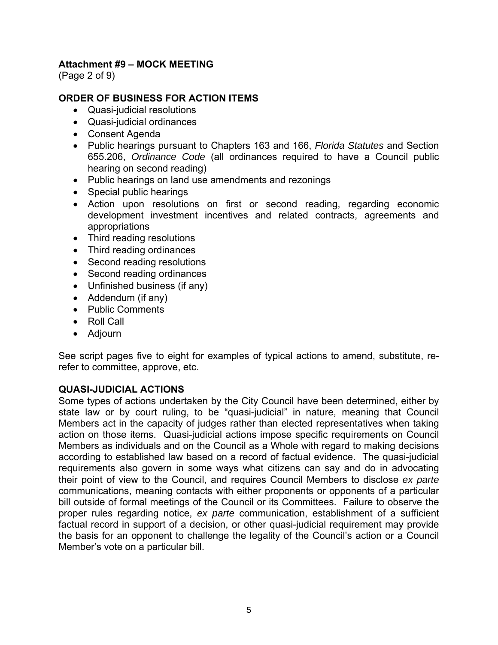(Page 2 of 9)

# **ORDER OF BUSINESS FOR ACTION ITEMS**

- Quasi-judicial resolutions
- Quasi-judicial ordinances
- Consent Agenda
- Public hearings pursuant to Chapters 163 and 166, *Florida Statutes* and Section 655.206, *Ordinance Code* (all ordinances required to have a Council public hearing on second reading)
- Public hearings on land use amendments and rezonings
- Special public hearings
- Action upon resolutions on first or second reading, regarding economic development investment incentives and related contracts, agreements and appropriations
- Third reading resolutions
- Third reading ordinances
- Second reading resolutions
- Second reading ordinances
- Unfinished business (if any)
- Addendum (if any)
- Public Comments
- Roll Call
- Adjourn

See script pages five to eight for examples of typical actions to amend, substitute, rerefer to committee, approve, etc.

#### **QUASI-JUDICIAL ACTIONS**

Some types of actions undertaken by the City Council have been determined, either by state law or by court ruling, to be "quasi-judicial" in nature, meaning that Council Members act in the capacity of judges rather than elected representatives when taking action on those items. Quasi-judicial actions impose specific requirements on Council Members as individuals and on the Council as a Whole with regard to making decisions according to established law based on a record of factual evidence. The quasi-judicial requirements also govern in some ways what citizens can say and do in advocating their point of view to the Council, and requires Council Members to disclose *ex parte* communications, meaning contacts with either proponents or opponents of a particular bill outside of formal meetings of the Council or its Committees. Failure to observe the proper rules regarding notice, *ex parte* communication, establishment of a sufficient factual record in support of a decision, or other quasi-judicial requirement may provide the basis for an opponent to challenge the legality of the Council's action or a Council Member's vote on a particular bill.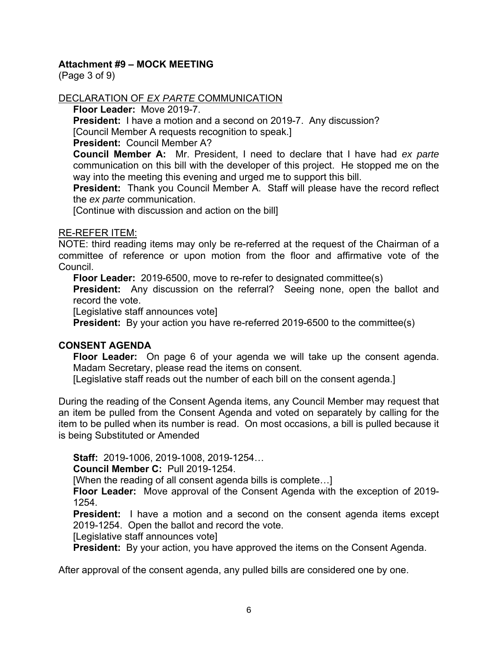(Page 3 of 9)

# DECLARATION OF *EX PARTE* COMMUNICATION

**Floor Leader:** Move 2019-7.

**President:** I have a motion and a second on 2019-7. Any discussion?

[Council Member A requests recognition to speak.]

**President:** Council Member A?

**Council Member A:** Mr. President, I need to declare that I have had *ex parte*  communication on this bill with the developer of this project. He stopped me on the way into the meeting this evening and urged me to support this bill.

**President:** Thank you Council Member A. Staff will please have the record reflect the *ex parte* communication.

[Continue with discussion and action on the bill]

#### RE-REFER ITEM:

NOTE: third reading items may only be re-referred at the request of the Chairman of a committee of reference or upon motion from the floor and affirmative vote of the Council.

**Floor Leader:** 2019-6500, move to re-refer to designated committee(s)

**President:** Any discussion on the referral? Seeing none, open the ballot and record the vote.

[Legislative staff announces vote]

**President:** By your action you have re-referred 2019-6500 to the committee(s)

#### **CONSENT AGENDA**

**Floor Leader:** On page 6 of your agenda we will take up the consent agenda. Madam Secretary, please read the items on consent.

[Legislative staff reads out the number of each bill on the consent agenda.]

During the reading of the Consent Agenda items, any Council Member may request that an item be pulled from the Consent Agenda and voted on separately by calling for the item to be pulled when its number is read. On most occasions, a bill is pulled because it is being Substituted or Amended

**Staff:** 2019-1006, 2019-1008, 2019-1254…

**Council Member C:** Pull 2019-1254.

[When the reading of all consent agenda bills is complete…]

**Floor Leader:** Move approval of the Consent Agenda with the exception of 2019- 1254.

**President:** I have a motion and a second on the consent agenda items except 2019-1254. Open the ballot and record the vote.

[Legislative staff announces vote]

**President:** By your action, you have approved the items on the Consent Agenda.

After approval of the consent agenda, any pulled bills are considered one by one.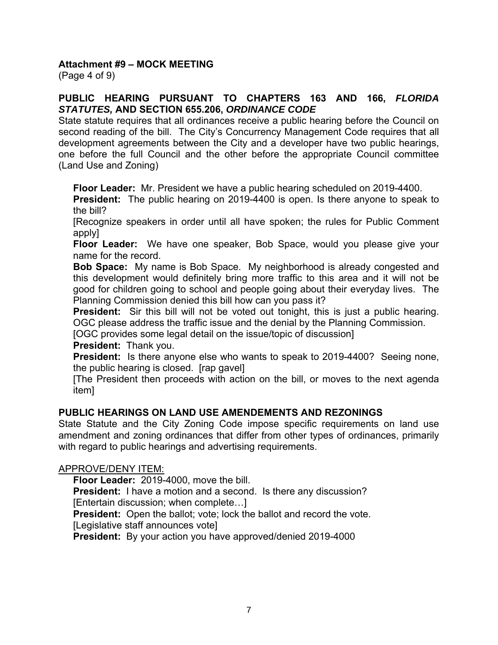(Page 4 of 9)

# **PUBLIC HEARING PURSUANT TO CHAPTERS 163 AND 166,** *FLORIDA STATUTES,* **AND SECTION 655.206,** *ORDINANCE CODE*

State statute requires that all ordinances receive a public hearing before the Council on second reading of the bill. The City's Concurrency Management Code requires that all development agreements between the City and a developer have two public hearings, one before the full Council and the other before the appropriate Council committee (Land Use and Zoning)

**Floor Leader:** Mr. President we have a public hearing scheduled on 2019-4400.

**President:** The public hearing on 2019-4400 is open. Is there anyone to speak to the bill?

[Recognize speakers in order until all have spoken; the rules for Public Comment apply]

**Floor Leader:** We have one speaker, Bob Space, would you please give your name for the record.

**Bob Space:** My name is Bob Space. My neighborhood is already congested and this development would definitely bring more traffic to this area and it will not be good for children going to school and people going about their everyday lives. The Planning Commission denied this bill how can you pass it?

**President:** Sir this bill will not be voted out tonight, this is just a public hearing. OGC please address the traffic issue and the denial by the Planning Commission.

[OGC provides some legal detail on the issue/topic of discussion]

**President:** Thank you.

**President:** Is there anyone else who wants to speak to 2019-4400? Seeing none, the public hearing is closed. [rap gavel]

[The President then proceeds with action on the bill, or moves to the next agenda item]

# **PUBLIC HEARINGS ON LAND USE AMENDEMENTS AND REZONINGS**

State Statute and the City Zoning Code impose specific requirements on land use amendment and zoning ordinances that differ from other types of ordinances, primarily with regard to public hearings and advertising requirements.

#### APPROVE/DENY ITEM:

**Floor Leader:** 2019-4000, move the bill.

**President:** I have a motion and a second. Is there any discussion? [Entertain discussion; when complete…]

**President:** Open the ballot; vote; lock the ballot and record the vote.

[Legislative staff announces vote]

**President:** By your action you have approved/denied 2019-4000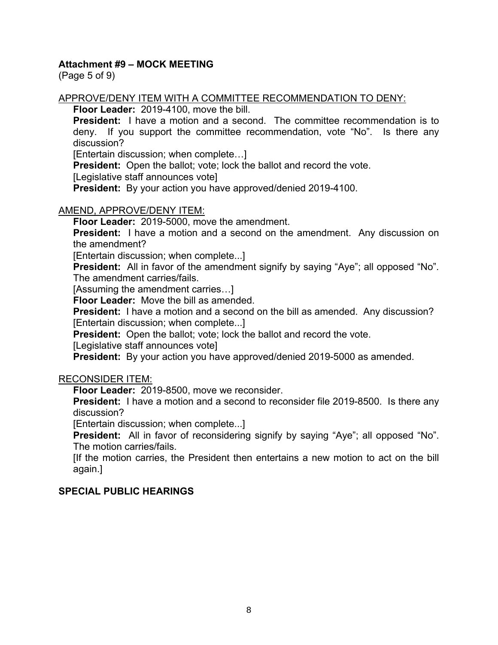(Page 5 of 9)

#### APPROVE/DENY ITEM WITH A COMMITTEE RECOMMENDATION TO DENY:

**Floor Leader:** 2019-4100, move the bill.

**President:** I have a motion and a second. The committee recommendation is to deny. If you support the committee recommendation, vote "No". Is there any discussion?

[Entertain discussion; when complete…]

**President:** Open the ballot; vote; lock the ballot and record the vote.

[Legislative staff announces vote]

**President:** By your action you have approved/denied 2019-4100.

#### AMEND, APPROVE/DENY ITEM:

**Floor Leader:** 2019-5000, move the amendment.

**President:** I have a motion and a second on the amendment. Any discussion on the amendment?

[Entertain discussion; when complete...]

**President:** All in favor of the amendment signify by saying "Aye"; all opposed "No". The amendment carries/fails.

[Assuming the amendment carries…]

**Floor Leader:** Move the bill as amended.

**President:** I have a motion and a second on the bill as amended. Any discussion? [Entertain discussion; when complete...]

**President:** Open the ballot; vote; lock the ballot and record the vote.

[Legislative staff announces vote]

**President:** By your action you have approved/denied 2019-5000 as amended.

#### RECONSIDER ITEM:

**Floor Leader:** 2019-8500, move we reconsider.

**President:** I have a motion and a second to reconsider file 2019-8500. Is there any discussion?

[Entertain discussion; when complete...]

**President:** All in favor of reconsidering signify by saying "Aye"; all opposed "No". The motion carries/fails.

[If the motion carries, the President then entertains a new motion to act on the bill again.]

#### **SPECIAL PUBLIC HEARINGS**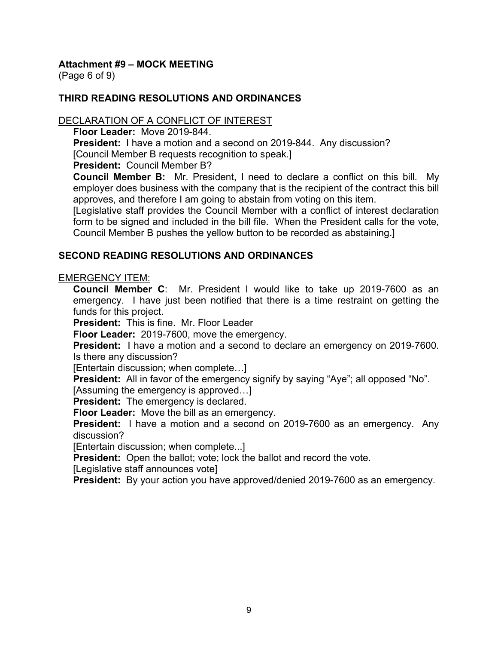(Page 6 of 9)

# **THIRD READING RESOLUTIONS AND ORDINANCES**

#### DECLARATION OF A CONFLICT OF INTEREST

**Floor Leader:** Move 2019-844.

**President:** I have a motion and a second on 2019-844. Any discussion?

[Council Member B requests recognition to speak.]

**President:** Council Member B?

**Council Member B:** Mr. President, I need to declare a conflict on this bill. My employer does business with the company that is the recipient of the contract this bill approves, and therefore I am going to abstain from voting on this item.

[Legislative staff provides the Council Member with a conflict of interest declaration form to be signed and included in the bill file. When the President calls for the vote, Council Member B pushes the yellow button to be recorded as abstaining.]

#### **SECOND READING RESOLUTIONS AND ORDINANCES**

#### EMERGENCY ITEM:

**Council Member C**: Mr. President I would like to take up 2019-7600 as an emergency. I have just been notified that there is a time restraint on getting the funds for this project.

**President:** This is fine. Mr. Floor Leader

**Floor Leader:** 2019-7600, move the emergency.

**President:** I have a motion and a second to declare an emergency on 2019-7600. Is there any discussion?

[Entertain discussion; when complete…]

**President:** All in favor of the emergency signify by saying "Aye"; all opposed "No".

[Assuming the emergency is approved…]

**President:** The emergency is declared.

**Floor Leader:** Move the bill as an emergency.

**President:** I have a motion and a second on 2019-7600 as an emergency. Any discussion?

[Entertain discussion; when complete...]

**President:** Open the ballot; vote; lock the ballot and record the vote.

[Legislative staff announces vote]

**President:** By your action you have approved/denied 2019-7600 as an emergency.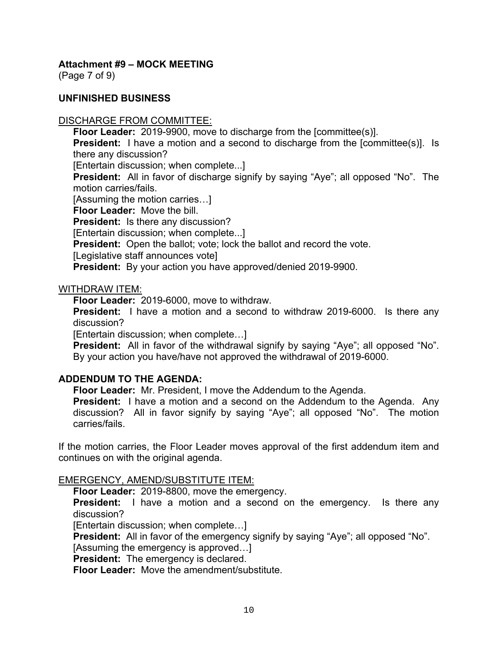(Page 7 of 9)

#### **UNFINISHED BUSINESS**

#### DISCHARGE FROM COMMITTEE:

**Floor Leader:** 2019-9900, move to discharge from the [committee(s)].

**President:** I have a motion and a second to discharge from the [committee(s)]. Is there any discussion?

[Entertain discussion; when complete...]

**President:** All in favor of discharge signify by saying "Aye"; all opposed "No". The motion carries/fails.

[Assuming the motion carries…]

**Floor Leader:** Move the bill.

**President:** Is there any discussion?

[Entertain discussion; when complete...]

**President:** Open the ballot; vote; lock the ballot and record the vote.

[Legislative staff announces vote]

**President:** By your action you have approved/denied 2019-9900.

#### WITHDRAW ITEM:

**Floor Leader:** 2019-6000, move to withdraw.

**President:** I have a motion and a second to withdraw 2019-6000. Is there any discussion?

[Entertain discussion; when complete…]

**President:** All in favor of the withdrawal signify by saying "Aye"; all opposed "No". By your action you have/have not approved the withdrawal of 2019-6000.

#### **ADDENDUM TO THE AGENDA:**

**Floor Leader:** Mr. President, I move the Addendum to the Agenda.

**President:** I have a motion and a second on the Addendum to the Agenda. Any discussion? All in favor signify by saying "Aye"; all opposed "No". The motion carries/fails.

If the motion carries, the Floor Leader moves approval of the first addendum item and continues on with the original agenda.

#### EMERGENCY, AMEND/SUBSTITUTE ITEM:

**Floor Leader:** 2019-8800, move the emergency.

**President:** I have a motion and a second on the emergency. Is there any discussion?

[Entertain discussion; when complete…]

**President:** All in favor of the emergency signify by saying "Aye"; all opposed "No".

[Assuming the emergency is approved…]

**President:** The emergency is declared.

**Floor Leader:** Move the amendment/substitute.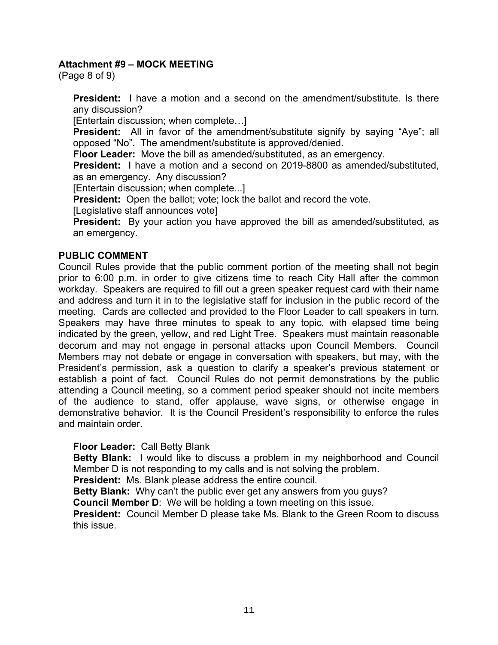(Page 8 of 9)

**President:** I have a motion and a second on the amendment/substitute. Is there any discussion?

[Entertain discussion; when complete…]

**President:** All in favor of the amendment/substitute signify by saying "Aye"; all opposed "No". The amendment/substitute is approved/denied.

**Floor Leader:** Move the bill as amended/substituted, as an emergency.

**President:** I have a motion and a second on 2019-8800 as amended/substituted, as an emergency. Any discussion?

[Entertain discussion; when complete...]

**President:** Open the ballot; vote; lock the ballot and record the vote.

[Legislative staff announces vote]

**President:** By your action you have approved the bill as amended/substituted, as an emergency.

#### **PUBLIC COMMENT**

Council Rules provide that the public comment portion of the meeting shall not begin prior to 6:00 p.m. in order to give citizens time to reach City Hall after the common workday. Speakers are required to fill out a green speaker request card with their name and address and turn it in to the legislative staff for inclusion in the public record of the meeting. Cards are collected and provided to the Floor Leader to call speakers in turn. Speakers may have three minutes to speak to any topic, with elapsed time being indicated by the green, yellow, and red Light Tree. Speakers must maintain reasonable decorum and may not engage in personal attacks upon Council Members. Council Members may not debate or engage in conversation with speakers, but may, with the President's permission, ask a question to clarify a speaker's previous statement or establish a point of fact. Council Rules do not permit demonstrations by the public attending a Council meeting, so a comment period speaker should not incite members of the audience to stand, offer applause, wave signs, or otherwise engage in demonstrative behavior. It is the Council President's responsibility to enforce the rules and maintain order.

#### **Floor Leader:** Call Betty Blank

**Betty Blank:** I would like to discuss a problem in my neighborhood and Council Member D is not responding to my calls and is not solving the problem.

**President:** Ms. Blank please address the entire council.

**Betty Blank:** Why can't the public ever get any answers from you guys?

**Council Member D**: We will be holding a town meeting on this issue.

**President:** Council Member D please take Ms. Blank to the Green Room to discuss this issue.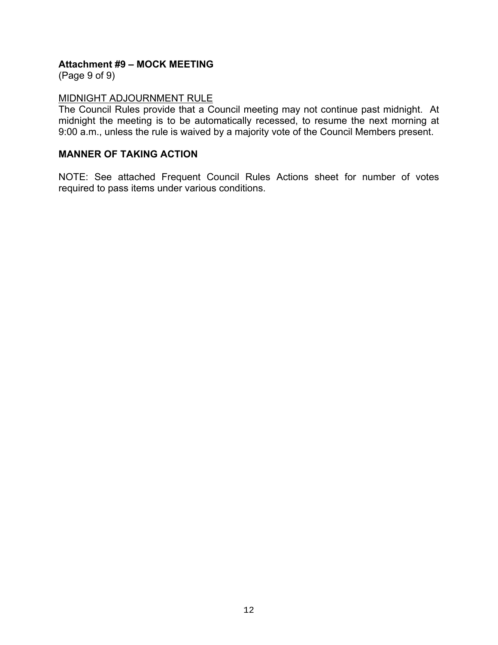(Page 9 of 9)

# MIDNIGHT ADJOURNMENT RULE

The Council Rules provide that a Council meeting may not continue past midnight. At midnight the meeting is to be automatically recessed, to resume the next morning at 9:00 a.m., unless the rule is waived by a majority vote of the Council Members present.

#### **MANNER OF TAKING ACTION**

NOTE: See attached Frequent Council Rules Actions sheet for number of votes required to pass items under various conditions.